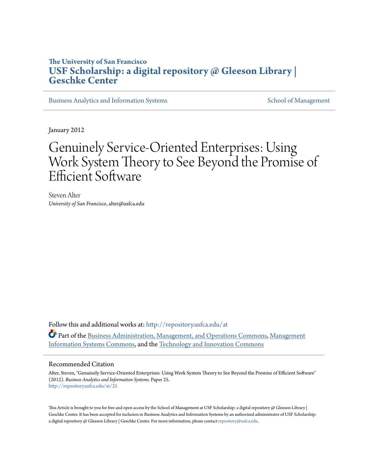## **The University of San Francisco [USF Scholarship: a digital repository @ Gleeson Library |](http://repository.usfca.edu?utm_source=repository.usfca.edu%2Fat%2F25&utm_medium=PDF&utm_campaign=PDFCoverPages) [Geschke Center](http://repository.usfca.edu?utm_source=repository.usfca.edu%2Fat%2F25&utm_medium=PDF&utm_campaign=PDFCoverPages)**

[Business Analytics and Information Systems](http://repository.usfca.edu/at?utm_source=repository.usfca.edu%2Fat%2F25&utm_medium=PDF&utm_campaign=PDFCoverPages) [School of Management](http://repository.usfca.edu/management?utm_source=repository.usfca.edu%2Fat%2F25&utm_medium=PDF&utm_campaign=PDFCoverPages) School of Management

January 2012

# Genuinely Service-Oriented Enterprises: Using Work System Theory to See Beyond the Promise of Efficient Software

Steven Alter *University of San Francisco*, alter@usfca.edu

Follow this and additional works at: [http://repository.usfca.edu/at](http://repository.usfca.edu/at?utm_source=repository.usfca.edu%2Fat%2F25&utm_medium=PDF&utm_campaign=PDFCoverPages) Part of the [Business Administration, Management, and Operations Commons](http://network.bepress.com/hgg/discipline/623?utm_source=repository.usfca.edu%2Fat%2F25&utm_medium=PDF&utm_campaign=PDFCoverPages), [Management](http://network.bepress.com/hgg/discipline/636?utm_source=repository.usfca.edu%2Fat%2F25&utm_medium=PDF&utm_campaign=PDFCoverPages) [Information Systems Commons](http://network.bepress.com/hgg/discipline/636?utm_source=repository.usfca.edu%2Fat%2F25&utm_medium=PDF&utm_campaign=PDFCoverPages), and the [Technology and Innovation Commons](http://network.bepress.com/hgg/discipline/644?utm_source=repository.usfca.edu%2Fat%2F25&utm_medium=PDF&utm_campaign=PDFCoverPages)

#### Recommended Citation

Alter, Steven, "Genuinely Service-Oriented Enterprises: Using Work System Theory to See Beyond the Promise of Efficient Software" (2012). *Business Analytics and Information Systems.* Paper 25. [http://repository.usfca.edu/at/25](http://repository.usfca.edu/at/25?utm_source=repository.usfca.edu%2Fat%2F25&utm_medium=PDF&utm_campaign=PDFCoverPages)

This Article is brought to you for free and open access by the School of Management at USF Scholarship: a digital repository  $\omega$  Gleeson Library | Geschke Center. It has been accepted for inclusion in Business Analytics and Information Systems by an authorized administrator of USF Scholarship: a digital repository @ Gleeson Library | Geschke Center. For more information, please contact [repository@usfca.edu.](mailto:repository@usfca.edu)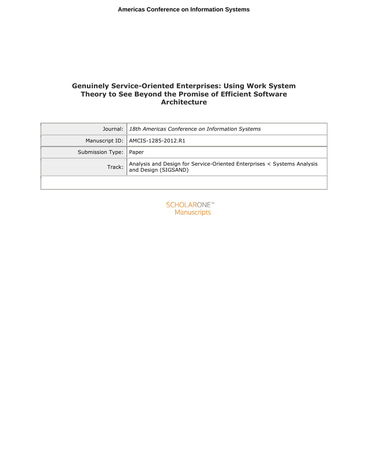### **Genuinely Service-Oriented Enterprises: Using Work System Theory to See Beyond the Promise of Efficient Software Architecture**

|                          | Journal:   18th Americas Conference on Information Systems                                        |
|--------------------------|---------------------------------------------------------------------------------------------------|
|                          | Manuscript ID:   AMCIS-1285-2012.R1                                                               |
| Submission Type:   Paper |                                                                                                   |
| Track:                   | Analysis and Design for Service-Oriented Enterprises < Systems Analysis<br>  and Design (SIGSAND) |
|                          |                                                                                                   |

**SCHOLARONE™** Manuscripts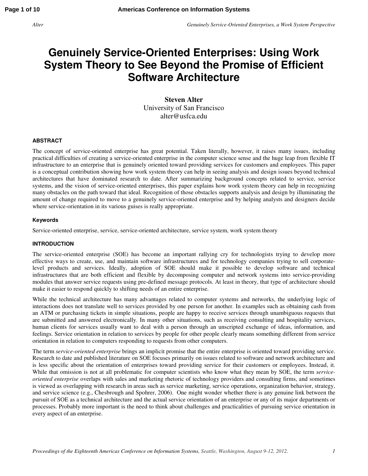## **Genuinely Service-Oriented Enterprises: Using Work System Theory to See Beyond the Promise of Efficient Software Architecture**

**Steven Alter**  University of San Francisco alter@usfca.edu

#### **ABSTRACT**

The concept of service-oriented enterprise has great potential. Taken literally, however, it raises many issues, including practical difficulties of creating a service-oriented enterprise in the computer science sense and the huge leap from flexible IT infrastructure to an enterprise that is genuinely oriented toward providing services for customers and employees. This paper is a conceptual contribution showing how work system theory can help in seeing analysis and design issues beyond technical architectures that have dominated research to date. After summarizing background concepts related to service, service systems, and the vision of service-oriented enterprises, this paper explains how work system theory can help in recognizing many obstacles on the path toward that ideal. Recognition of those obstacles supports analysis and design by illuminating the amount of change required to move to a genuinely service-oriented enterprise and by helping analysts and designers decide where service-orientation in its various guises is really appropriate.

#### **Keywords**

Service-oriented enterprise, service, service-oriented architecture, service system, work system theory

#### **INTRODUCTION**

The service-oriented enterprise (SOE) has become an important rallying cry for technologists trying to develop more effective ways to create, use, and maintain software infrastructures and for technology companies trying to sell corporatelevel products and services. Ideally, adoption of SOE should make it possible to develop software and technical infrastructures that are both efficient and flexible by decomposing computer and network systems into service-providing modules that answer service requests using pre-defined message protocols. At least in theory, that type of architecture should make it easier to respond quickly to shifting needs of an entire enterprise.

While the technical architecture has many advantages related to computer systems and networks, the underlying logic of interactions does not translate well to services provided by one person for another. In examples such as obtaining cash from an ATM or purchasing tickets in simple situations, people are happy to receive services through unambiguous requests that are submitted and answered electronically. In many other situations, such as receiving consulting and hospitality services, human clients for services usually want to deal with a person through an unscripted exchange of ideas, information, and feelings. Service orientation in relation to services by people for other people clearly means something different from service orientation in relation to computers responding to requests from other computers.

The term *service-oriented enterprise* brings an implicit promise that the entire enterprise is oriented toward providing service. Research to date and published literature on SOE focuses primarily on issues related to software and network architecture and is less specific about the orientation of enterprises toward providing service for their customers or employees. Instead, it. While that omission is not at all problematic for computer scientists who know what they mean by SOE, the term *serviceoriented enterprise* overlaps with sales and marketing rhetoric of technology providers and consulting firms, and sometimes is viewed as overlapping with research in areas such as service marketing, service operations, organization behavior, strategy, and service science (e.g., Chesbrough and Spohrer, 2006). One might wonder whether there is any genuine link between the pursuit of SOE as a technical architecture and the actual service orientation of an enterprise or any of its major departments or processes. Probably more important is the need to think about challenges and practicalities of pursuing service orientation in every aspect of an enterprise.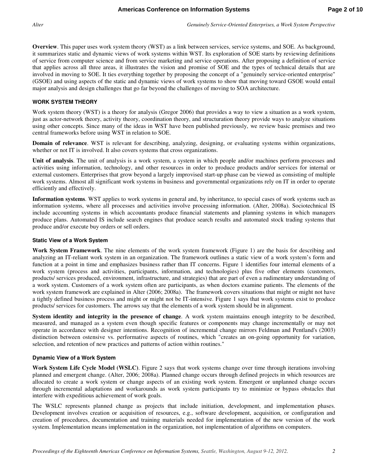**Overview**. This paper uses work system theory (WST) as a link between services, service systems, and SOE. As background, it summarizes static and dynamic views of work systems within WST. Its exploration of SOE starts by reviewing definitions of service from computer science and from service marketing and service operations. After proposing a definition of service that applies across all three areas, it illustrates the vision and promise of SOE and the types of technical details that are involved in moving to SOE. It ties everything together by proposing the concept of a "genuinely service-oriented enterprise" (GSOE) and using aspects of the static and dynamic views of work systems to show that moving toward GSOE would entail major analysis and design challenges that go far beyond the challenges of moving to SOA architecture.

#### **WORK SYSTEM THEORY**

Work system theory (WST) is a theory for analysis (Gregor 2006) that provides a way to view a situation as a work system, just as actor-network theory, activity theory, coordination theory, and structuration theory provide ways to analyze situations using other concepts. Since many of the ideas in WST have been published previously, we review basic premises and two central frameworks before using WST in relation to SOE.

**Domain of relevance**. WST is relevant for describing, analyzing, designing, or evaluating systems within organizations, whether or not IT is involved. It also covers systems that cross organizations.

**Unit of analysis**. The unit of analysis is a work system, a system in which people and/or machines perform processes and activities using information, technology, and other resources in order to produce products and/or services for internal or external customers. Enterprises that grow beyond a largely improvised start-up phase can be viewed as consisting of multiple work systems. Almost all significant work systems in business and governmental organizations rely on IT in order to operate efficiently and effectively.

**Information systems**. WST applies to work systems in general and, by inheritance, to special cases of work systems such as information systems, where all processes and activities involve processing information. (Alter, 2008a). Sociotechnical IS include accounting systems in which accountants produce financial statements and planning systems in which managers produce plans. Automated IS include search engines that produce search results and automated stock trading systems that produce and/or execute buy orders or sell orders.

#### **Static View of a Work System**

**Work System Framework**. The nine elements of the work system framework (Figure 1) are the basis for describing and analyzing an IT-reliant work system in an organization. The framework outlines a static view of a work system's form and function at a point in time and emphasizes business rather than IT concerns. Figure 1 identifies four internal elements of a work system (process and activities, participants, information, and technologies) plus five other elements (customers, products/ services produced, environment, infrastructure, and strategies) that are part of even a rudimentary understanding of a work system. Customers of a work system often are participants, as when doctors examine patients. The elements of the work system framework are explained in Alter (2006; 2008a). The framework covers situations that might or might not have a tightly defined business process and might or might not be IT-intensive. Figure 1 says that work systems exist to produce products/ services for customers. The arrows say that the elements of a work system should be in alignment.

**System identity and integrity in the presence of change**. A work system maintains enough integrity to be described, measured, and managed as a system even though specific features or components may change incrementally or may not operate in accordance with designer intentions. Recognition of incremental change mirrors Feldman and Pentland's (2003) distinction between ostensive vs. performative aspects of routines, which "creates an on-going opportunity for variation, selection, and retention of new practices and patterns of action within routines."

#### **Dynamic View of a Work System**

**Work System Life Cycle Model (WSLC)**. Figure 2 says that work systems change over time through iterations involving planned and emergent change. (Alter, 2006; 2008a). Planned change occurs through defined projects in which resources are allocated to create a work system or change aspects of an existing work system. Emergent or unplanned change occurs through incremental adaptations and workarounds as work system participants try to minimize or bypass obstacles that interfere with expeditious achievement of work goals.

The WSLC represents planned change as projects that include initiation, development, and implementation phases. Development involves creation or acquisition of resources, e.g., software development, acquisition, or configuration and creation of procedures, documentation and training materials needed for implementation of the new version of the work system. Implementation means implementation in the organization, not implementation of algorithms on computers.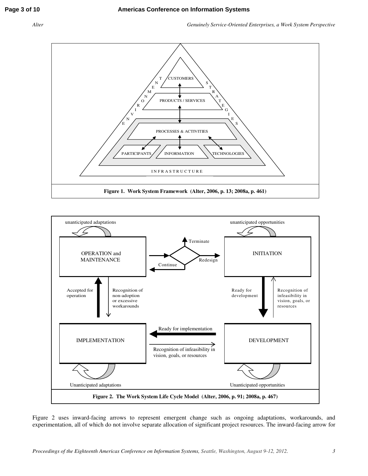



Figure 2 uses inward-facing arrows to represent emergent change such as ongoing adaptations, workarounds, and experimentation, all of which do not involve separate allocation of significant project resources. The inward-facing arrow for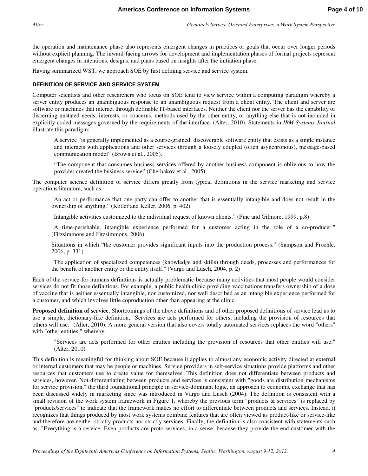the operation and maintenance phase also represents emergent changes in practices or goals that occur over longer periods without explicit planning. The inward-facing arrows for development and implementation phases of formal projects represent emergent changes in intentions, designs, and plans based on insights after the initiation phase.

Having summarized WST, we approach SOE by first defining service and service system.

#### **DEFINITION OF SERVICE AND SERVICE SYSTEM**

Computer scientists and other researchers who focus on SOE tend to view service within a computing paradigm whereby a server entity produces an unambiguous response to an unambiguous request from a client entity. The client and server are software or machines that interact through definable IT-based interfaces. Neither the client nor the server has the capability of discerning unstated needs, interests, or concerns, methods used by the other entity, or anything else that is not included in explicitly coded messages governed by the requirements of the interface. (Alter, 2010). Statements in *IBM Systems Journal* illustrate this paradigm:

A service "is generally implemented as a course-grained, discoverable software entity that exists as a single instance and interacts with applications and other services through a loosely coupled (often asynchronous), message-based communication model" (Brown et al., 2005).

"The component that consumes business services offered by another business component is oblivious to how the provider created the business service" (Cherbakov et al., 2005)

The computer science definition of service differs greatly from typical definitions in the service marketing and service operations literature, such as:

"An act or performance that one party can offer to another that is essentially intangible and does not result in the ownership of anything." (Kotler and Keller, 2006, p. 402)

"Intangible activities customized to the individual request of known clients." (Pine and Gilmore, 1999, p.8)

"A time-perishable, intangible experience performed for a customer acting in the role of a co-producer." (Fitzsimmons and Fitzsimmons, 2006)

Situations in which "the customer provides significant inputs into the production process." (Sampson and Froehle, 2006, p. 331)

"The application of specialized competences (knowledge and skills) through deeds, processes and performances for the benefit of another entity or the entity itself." (Vargo and Lusch, 2004, p. 2)

Each of the service-for-humans definitions is actually problematic because many activities that most people would consider services do not fit those definitions. For example, a public health clinic providing vaccinations transfers ownership of a dose of vaccine that is neither essentially intangible, nor customized, nor well described as an intangible experience performed for a customer, and which involves little coproduction other than appearing at the clinic.

**Proposed definition of service**. Shortcomings of the above definitions and of other proposed definitions of service lead us to use a simple, dictionary-like definition, "Services are acts performed for others, including the provision of resources that others will use." (Alter, 2010). A more general version that also covers totally automated services replaces the word "others" with "other entities," whereby:

"Services are acts performed for other entities including the provision of resources that other entities will use." (Alter, 2010)

This definition is meaningful for thinking about SOE because it applies to almost any economic activity directed at external or internal customers that may be people or machines. Service providers in self-service situations provide platforms and other resources that customers use to create value for themselves. This definition does not differentiate between products and services, however. Not differentiating between products and services is consistent with "goods are distribution mechanisms for service provision," the third foundational principle in service-dominant logic, an approach to economic exchange that has been discussed widely in marketing since was introduced in Vargo and Lusch (2004). The definition is consistent with a small revision of the work system framework in Figure 1, whereby the previous term "products & services" is replaced by "products/services" to indicate that the framework makes no effort to differentiate between products and services. Instead, it recognizes that things produced by most work systems combine features that are often viewed as product-like or service-like and therefore are neither strictly products nor strictly services. Finally, the definition is also consistent with statements such as, "Everything is a service. Even products are proto-services, in a sense, because they provide the end-customer with the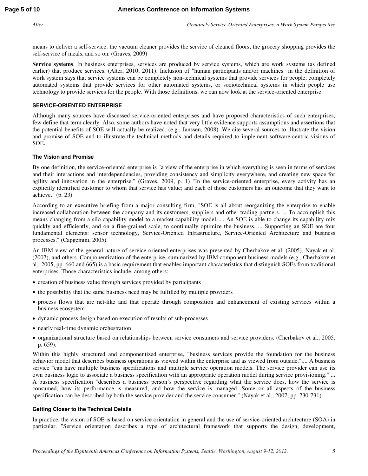means to deliver a self-service: the vacuum cleaner provides the service of cleaned floors, the grocery shopping provides the self-service of meals, and so on. (Graves, 2009)

**Service systems**. In business enterprises, services are produced by service systems, which are work systems (as defined earlier) that produce services. (Alter, 2010; 2011). Inclusion of "human participants and/or machines" in the definition of work system says that service systems can be completely non-technical systems that provide services for people, completely automated systems that provide services for other automated systems, or sociotechnical systems in which people use technology to provide services for the people. With those definitions, we can now look at the service-oriented enterprise.

#### **SERVICE-ORIENTED ENTERPRISE**

Although many sources have discussed service-oriented enterprises and have proposed characteristics of such enterprises, few define that term clearly. Also, some authors have noted that very little evidence supports assumptions and assertions that the potential benefits of SOE will actually be realized. (e.g., Janssen, 2008). We cite several sources to illustrate the vision and promise of SOE and to illustrate the technical methods and details required to implement software-centric visions of SOE.

#### **The Vision and Promise**

By one definition, the service-oriented enterprise is "a view of the enterprise in which everything is seen in terms of services and their interactions and interdependencies, providing consistency and simplicity everywhere, and creating new space for agility and innovation in the enterprise." (Graves, 2009, p. 1) "In the service-oriented enterprise, every activity has an explicitly identified customer to whom that service has value; and each of those customers has an outcome that they want to achieve." (p. 23)

According to an executive briefing from a major consulting firm, "SOE is all about reorganizing the enterprise to enable increased collaboration between the company and its customers, suppliers and other trading partners. ... To accomplish this means changing from a silo capability model to a market capability model. ... An SOE is able to change its capability mix quickly and efficiently, and on a fine-grained scale, to continually optimize the business. ... Supporting an SOE are four fundamental elements: sensor technology, Service-Oriented Infrastructure, Service-Oriented Architecture and business processes." (Capgemini, 2005).

An IBM view of the general nature of service-oriented enterprises was presented by Cherbakov et al. (2005), Nayak et al. (2007), and others. Componentization of the enterprise, summarized by IBM component business models (e.g., Cherbakov et al., 2005, pp. 660 and 665) is a basic requirement that enables important characteristics that distinguish SOEs from traditional enterprises. Those characteristics include, among others:

- creation of business value through services provided by participants
- the possibility that the same business need may be fulfilled by multiple providers
- process flows that are net-like and that operate through composition and enhancement of existing services within a business ecosystem
- dynamic process design based on execution of results of sub-processes
- nearly real-time dynamic orchestration
- organizational structure based on relationships between service consumers and service providers. (Cherbakov et al., 2005, p. 659).

Within this highly structured and componentized enterprise, "business services provide the foundation for the business behavior model that describes business operations as viewed within the enterprise and as viewed from outside.".... A business service "can have multiple business specifications and multiple service operation models. The service provider can use its own business logic to associate a business specification with an appropriate operation model during service provisioning." ... A business specification "describes a business person's perspective regarding what the service does, how the service is consumed, how its performance is measured, and how the service is managed. Some or all aspects of the business specification can be described by both the service provider and the service consumer." (Nayak et al., 2007, pp. 730-731)

#### **Getting Closer to the Technical Details**

In practice, the vision of SOE is based on service orientation in general and the use of service-oriented architecture (SOA) in particular. "Service orientation describes a type of architectural framework that supports the design, development,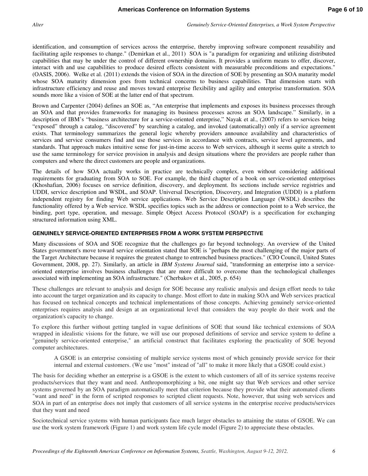identification, and consumption of services across the enterprise, thereby improving software component reusability and facilitating agile responses to change." (Demirkan et al., 2011) SOA is "a paradigm for organizing and utilizing distributed capabilities that may be under the control of different ownership domains. It provides a uniform means to offer, discover, interact with and use capabilities to produce desired effects consistent with measurable preconditions and expectations." (OASIS, 2006). Welke et al. (2011) extends the vision of SOA in the direction of SOE by presenting an SOA maturity model whose SOA maturity dimension goes from technical concerns to business capabilities. That dimension starts with infrastructure efficiency and reuse and moves toward enterprise flexibility and agility and enterprise transformation. SOA sounds more like a vision of SOE at the latter end of that spectrum.

Brown and Carpenter (2004) defines an SOE as, "An enterprise that implements and exposes its business processes through an SOA and that provides frameworks for managing its business processes across an SOA landscape." Similarly, in a description of IBM's "business architecture for a service-oriented enterprise," Nayak et al., (2007) refers to services being "exposed" through a catalog, "discovered" by searching a catalog, and invoked (automatically) only if a service agreement exists. That terminology summarizes the general logic whereby providers announce availability and characteristics of services and service consumers find and use those services in accordance with contracts, service level agreements, and standards. That approach makes intuitive sense for just-in-time access to Web services, although it seems quite a stretch to use the same terminology for service provision in analysis and design situations where the providers are people rather than computers and where the direct customers are people and organizations.

The details of how SOA actually works in practice are technically complex, even without considering additional requirements for graduating from SOA to SOE. For example, the third chapter of a book on service-oriented enterprises (Khoshafian, 2006) focuses on service definition, discovery, and deployment. Its sections include service registries and UDDI, service description and WSDL, and SOAP. Universal Description, Discovery, and Integration (UDDI) is a platform independent registry for finding Web service applications. Web Service Description Language (WSDL) describes the functionality offered by a Web service. WSDL specifies topics such as the address or connection point to a Web service, the binding, port type, operation, and message. Simple Object Access Protocol (SOAP) is a specification for exchanging structured information using XML.

#### **GENUINELY SERVICE-ORIENTED ENTERPRISES FROM A WORK SYSTEM PERSPECTIVE**

Many discussions of SOA and SOE recognize that the challenges go far beyond technology. An overview of the United States government's move toward service orientation stated that SOE is "perhaps the most challenging of the major parts of the Target Architecture because it requires the greatest change to entrenched business practices." (CIO Council, United States Government, 2008, pp. 27). Similarly, an article in *IBM Systems Journal* said, "transforming an enterprise into a serviceoriented enterprise involves business challenges that are more difficult to overcome than the technological challenges associated with implementing an SOA infrastructure." (Cherbakov et al., 2005, p. 654)

These challenges are relevant to analysis and design for SOE because any realistic analysis and design effort needs to take into account the target organization and its capacity to change. Most effort to date in making SOA and Web services practical has focused on technical concepts and technical implementations of those concepts. Achieving genuinely service-oriented enterprises requires analysis and design at an organizational level that considers the way people do their work and the organization's capacity to change.

To explore this further without getting tangled in vague definitions of SOE that sound like technical extensions of SOA wrapped in idealistic visions for the future, we will use our proposed definitions of service and service system to define a "genuinely service-oriented enterprise," an artificial construct that facilitates exploring the practicality of SOE beyond computer architectures.

A GSOE is an enterprise consisting of multiple service systems most of which genuinely provide service for their internal and external customers. (We use "most" instead of "all" to make it more likely that a GSOE could exist.)

The basis for deciding whether an enterprise is a GSOE is the extent to which customers of all of its service systems receive products/services that they want and need. Anthropomorphizing a bit, one might say that Web services and other service systems governed by an SOA paradigm automatically meet that criterion because they provide what their automated clients "want and need" in the form of scripted responses to scripted client requests. Note, however, that using web services and SOA in part of an enterprise does not imply that customers of all service systems in the enterprise receive products/services that they want and need

Sociotechnical service systems with human participants face much larger obstacles to attaining the status of GSOE. We can use the work system framework (Figure 1) and work system life cycle model (Figure 2) to appreciate these obstacles.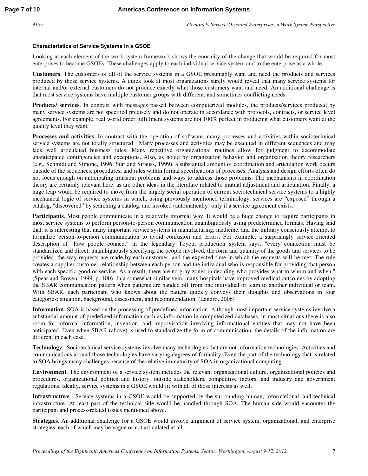#### **Characteristics of Service Systems in a GSOE**

Looking at each element of the work system framework shows the enormity of the change that would be required for most enterprises to become GSOEs. These challenges apply to each individual service system and to the enterprise as a whole.

**Customers**. The customers of all of the service systems in a GSOE presumably want and need the products and services produced by those service systems. A quick look at most organizations surely would reveal that many service systems for internal and/or external customers do not produce exactly what those customers want and need. An additional challenge is that most service systems have multiple customer groups with different, and sometimes conflicting needs.

**Products/ services**. In contrast with messages passed between computerized modules, the products/services produced by many service systems are not specified precisely and do not operate in accordance with protocols, contracts, or service level agreements. For example, real world order fulfillment systems are not 100% perfect in producing what customers want at the quality level they want.

**Processes and activities**. In contrast with the operation of software, many processes and activities within sociotechnical service systems are not totally structured. Many processes and activities may be executed in different sequences and may lack well articulated business rules. Many repetitive organizational routines allow for judgment to accommodate unanticipated contingencies and exceptions. Also, as noted by organization behavior and organization theory researchers (e.g., Schmidt and Simone, 1996; Star and Strauss, 1999), a substantial amount of coordination and articulation work occurs outside of the sequences, procedures, and rules within formal specifications of processes. Analysis and design efforts often do not focus enough on anticipating transient problems and ways to address those problems. The mechanisms in coordination theory are certainly relevant here, as are other ideas in the literature related to mutual adjustment and articulation. Finally, a huge leap would be required to move from the largely social operation of current sociotechnical service systems to a highly mechanical logic of service systems in which, using previously mentioned terminology, services are "exposed" through a catalog, "discovered" by searching a catalog, and invoked (automatically) only if a service agreement exists.

**Participants**. Most people communicate in a relatively informal way. It would be a huge change to require participants in most service systems to perform person-to-person communication unambiguously using predetermined formats. Having said that, it is interesting that many important service systems in manufacturing, medicine, and the military consciously attempt to formalize person-to-person communication to avoid confusion and errors. For example, a surprisingly service-oriented description of "how people connect" in the legendary Toyota production system says, "every connection must be standardized and direct, unambiguously specifying the people involved, the form and quantity of the goods and services to be provided, the way requests are made by each customer, and the expected time in which the requests will be met. The rule creates a supplier-customer relationship between each person and the individual who is responsible for providing that person with each specific good or service. As a result, there are no gray zones in deciding who provides what to whom and when." (Spear and Bowen, 1999, p. 100) In a somewhat similar vein, many hospitals have improved medical outcomes by adopting the SBAR communication pattern when patients are handed off from one individual or team to another individual or team. With SBAR, each participant who knows about the patient quickly conveys their thoughts and observations in four categories: situation, background, assessment, and recommendation. (Landro, 2006)

**Information**. SOA is based on the processing of predefined information. Although most important service systems involve a substantial amount of predefined information such as information in computerized databases, in most situations there is also room for informal information, invention, and improvisation involving informational entities that may not have been anticipated. Even when SBAR (above) is used to standardize the form of communication, the details of the information are different in each case.

**Technolog**y. Sociotechnical service systems involve many technologies that are not information technologies. Activities and communications around those technologies have varying degrees of formality. Even the part of the technology that is related to SOA brings many challenges because of the relative immaturity of SOA in organizational computing.

**Environment**. The environment of a service system includes the relevant organizational culture, organizational policies and procedures, organizational politics and history, outside stakeholders, competitive factors, and industry and government regulations. Ideally, service systems in a GSOE would fit with all of those interests as well.

**Infrastructure**. Service systems in a GSOE would be supported by the surrounding human, informational, and technical infrastructure. At least part of the technical side would be handled through SOA. The human side would encounter the participant and process-related issues mentioned above.

**Strategies**. An additional challenge for a GSOE would involve alignment of service system, organizational, and enterprise strategies, each of which may be vague or not articulated at all.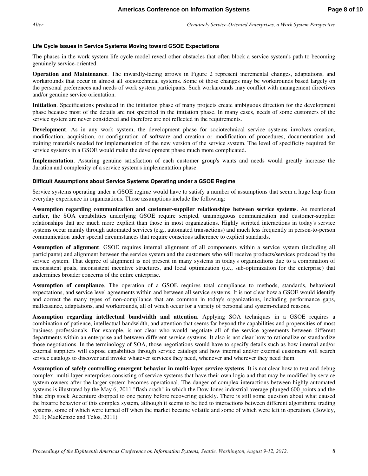#### **Life Cycle Issues in Service Systems Moving toward GSOE Expectations**

The phases in the work system life cycle model reveal other obstacles that often block a service system's path to becoming genuinely service-oriented.

**Operation and Maintenance**. The inwardly-facing arrows in Figure 2 represent incremental changes, adaptations, and workarounds that occur in almost all sociotechnical systems. Some of those changes may be workarounds based largely on the personal preferences and needs of work system participants. Such workarounds may conflict with management directives and/or genuine service orientation.

**Initiation**. Specifications produced in the initiation phase of many projects create ambiguous direction for the development phase because most of the details are not specified in the initiation phase. In many cases, needs of some customers of the service system are never considered and therefore are not reflected in the requirements.

**Development**. As in any work system, the development phase for sociotechnical service systems involves creation, modification, acquisition, or configuration of software and creation or modification of procedures, documentation and training materials needed for implementation of the new version of the service system. The level of specificity required for service systems in a GSOE would make the development phase much more complicated.

**Implementation**. Assuring genuine satisfaction of each customer group's wants and needs would greatly increase the duration and complexity of a service system's implementation phase.

#### **Difficult Assumptions about Service Systems Operating under a GSOE Regime**

Service systems operating under a GSOE regime would have to satisfy a number of assumptions that seem a huge leap from everyday experience in organizations. Those assumptions include the following:

**Assumption regarding communication and customer-supplier relationships between service systems**. As mentioned earlier, the SOA capabilities underlying GSOE require scripted, unambiguous communication and customer-supplier relationships that are much more explicit than those in most organizations. Highly scripted interactions in today's service systems occur mainly through automated services (e.g., automated transactions) and much less frequently in person-to-person communication under special circumstances that require conscious adherence to explicit standards.

**Assumption of alignment**. GSOE requires internal alignment of all components within a service system (including all participants) and alignment between the service system and the customers who will receive products/services produced by the service system. That degree of alignment is not present in many systems in today's organizations due to a combination of inconsistent goals, inconsistent incentive structures, and local optimization (i.e., sub-optimization for the enterprise) that undermines broader concerns of the entire enterprise.

**Assumption of compliance**. The operation of a GSOE requires total compliance to methods, standards, behavioral expectations, and service level agreements within and between all service systems. It is not clear how a GSOE would identify and correct the many types of non-compliance that are common in today's organizations, including performance gaps, malfeasance, adaptations, and workarounds, all of which occur for a variety of personal and system-related reasons.

**Assumption regarding intellectual bandwidth and attention**. Applying SOA techniques in a GSOE requires a combination of patience, intellectual bandwidth, and attention that seems far beyond the capabilities and propensities of most business professionals. For example, is not clear who would negotiate all of the service agreements between different departments within an enterprise and between different service systems. It also is not clear how to rationalize or standardize those negotiations. In the terminology of SOA, those negotiations would have to specify details such as how internal and/or external suppliers will expose capabilities through service catalogs and how internal and/or external customers will search service catalogs to discover and invoke whatever services they need, whenever and wherever they need them.

**Assumption of safely controlling emergent behavior in multi-layer service systems**. It is not clear how to test and debug complex, multi-layer enterprises consisting of service systems that have their own logic and that may be modified by service system owners after the larger system becomes operational. The danger of complex interactions between highly automated systems is illustrated by the May 6, 2011 "flash crash" in which the Dow Jones industrial average plunged 600 points and the blue chip stock Accenture dropped to one penny before recovering quickly. There is still some question about what caused the bizarre behavior of this complex system, although it seems to be tied to interactions between different algorithmic trading systems, some of which were turned off when the market became volatile and some of which were left in operation. (Bowley, 2011; MacKenzie and Telos, 2011)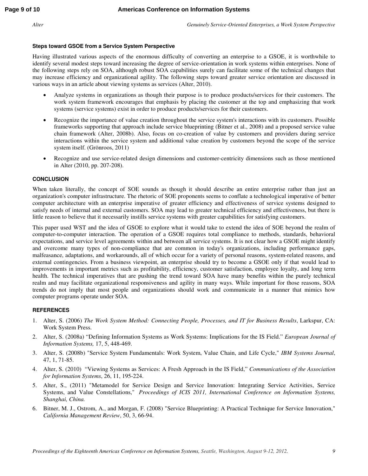#### **Steps toward GSOE from a Service System Perspective**

Having illustrated various aspects of the enormous difficulty of converting an enterprise to a GSOE, it is worthwhile to identify several modest steps toward increasing the degree of service-orientation in work systems within enterprises. None of the following steps rely on SOA, although robust SOA capabilities surely can facilitate some of the technical changes that may increase efficiency and organizational agility. The following steps toward greater service orientation are discussed in various ways in an article about viewing systems as services (Alter, 2010).

- Analyze systems in organizations as though their purpose is to produce products/services for their customers. The work system framework encourages that emphasis by placing the customer at the top and emphasizing that work systems (service systems) exist in order to produce products/services for their customers.
- Recognize the importance of value creation throughout the service system's interactions with its customers. Possible frameworks supporting that approach include service blueprinting (Bitner et al., 2008) and a proposed service value chain framework (Alter, 2008b). Also, focus on co-creation of value by customers and providers during service interactions within the service system and additional value creation by customers beyond the scope of the service system itself. (Grönroos, 2011)
- Recognize and use service-related design dimensions and customer-centricity dimensions such as those mentioned in Alter (2010, pp. 207-208).

#### **CONCLUSION**

When taken literally, the concept of SOE sounds as though it should describe an entire enterprise rather than just an organization's computer infrastructure. The rhetoric of SOE proponents seems to conflate a technological imperative of better computer architecture with an enterprise imperative of greater efficiency and effectiveness of service systems designed to satisfy needs of internal and external customers. SOA may lead to greater technical efficiency and effectiveness, but there is little reason to believe that it necessarily instills service systems with greater capabilities for satisfying customers.

This paper used WST and the idea of GSOE to explore what it would take to extend the idea of SOE beyond the realm of computer-to-computer interaction. The operation of a GSOE requires total compliance to methods, standards, behavioral expectations, and service level agreements within and between all service systems. It is not clear how a GSOE might identify and overcome many types of non-compliance that are common in today's organizations, including performance gaps, malfeasance, adaptations, and workarounds, all of which occur for a variety of personal reasons, system-related reasons, and external contingencies. From a business viewpoint, an enterprise should try to become a GSOE only if that would lead to improvements in important metrics such as profitability, efficiency, customer satisfaction, employee loyalty, and long term health. The technical imperatives that are pushing the trend toward SOA have many benefits within the purely technical realm and may facilitate organizational responsiveness and agility in many ways. While important for those reasons, SOA trends do not imply that most people and organizations should work and communicate in a manner that mimics how computer programs operate under SOA.

#### **REFERENCES**

- 1. Alter, S. (2006) *The Work System Method: Connecting People, Processes, and IT for Business Results*, Larkspur, CA: Work System Press.
- 2. Alter, S. (2008a) "Defining Information Systems as Work Systems: Implications for the IS Field." *European Journal of Information Systems,* 17, 5, 448-469.
- 3. Alter, S. (2008b) "Service System Fundamentals: Work System, Value Chain, and Life Cycle," *IBM Systems Journal*, 47, 1, 71-85.
- 4. Alter, S. (2010) "Viewing Systems as Services: A Fresh Approach in the IS Field," *Communications of the Association for Information Systems*, 26, 11, 195-224.
- 5. Alter, S., (2011) "Metamodel for Service Design and Service Innovation: Integrating Service Activities, Service Systems, and Value Constellations," *Proceedings of ICIS 2011, International Conference on Information Systems, Shanghai, China.*
- 6. Bitner, M. J., Ostrom, A., and Morgan, F. (2008) "Service Blueprinting: A Practical Technique for Service Innovation," *California Management Review*, 50, 3, 66-94.